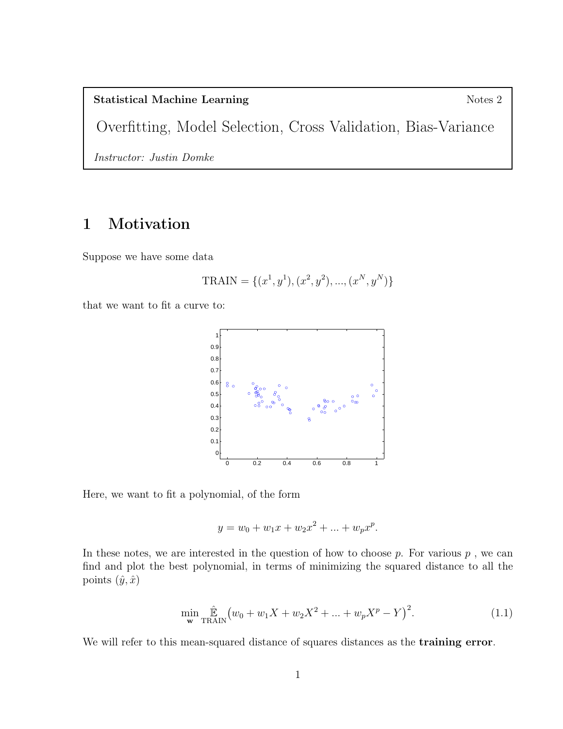## Statistical Machine Learning Notes 2

Overfitting, Model Selection, Cross Validation, Bias-Variance

Instructor: Justin Domke

## 1 Motivation

Suppose we have some data

$$
TRAN = \{(x^1, y^1), (x^2, y^2), ..., (x^N, y^N)\}
$$

that we want to fit a curve to:



Here, we want to fit a polynomial, of the form

$$
y = w_0 + w_1 x + w_2 x^2 + \dots + w_p x^p.
$$

In these notes, we are interested in the question of how to choose  $p$ . For various  $p$ , we can find and plot the best polynomial, in terms of minimizing the squared distance to all the points  $(\hat{y}, \hat{x})$ 

$$
\min_{\mathbf{w}} \hat{\mathbb{E}}_{\text{TRAIN}} \left( w_0 + w_1 X + w_2 X^2 + \dots + w_p X^p - Y \right)^2.
$$
 (1.1)

We will refer to this mean-squared distance of squares distances as the **training error**.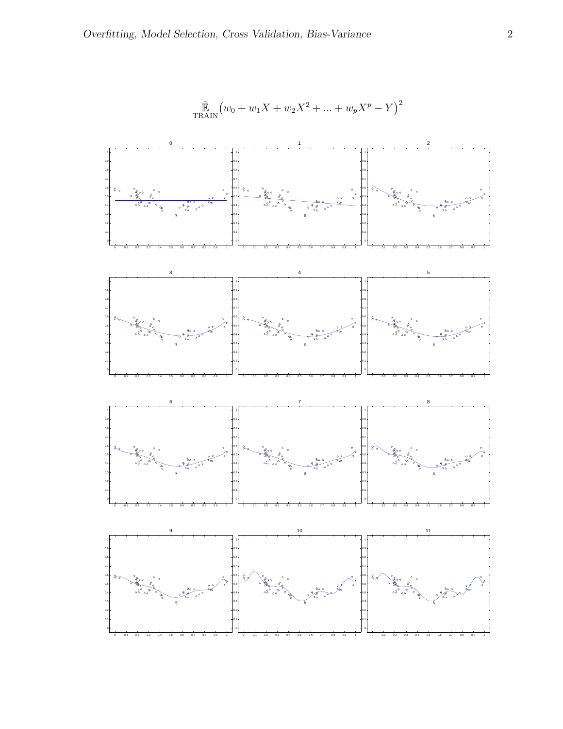

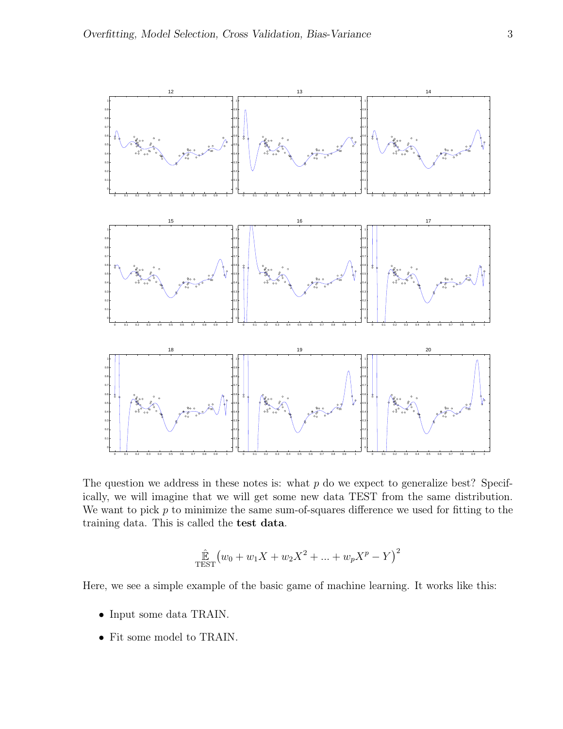

The question we address in these notes is: what  $p$  do we expect to generalize best? Specifically, we will imagine that we will get some new data TEST from the same distribution. We want to pick  $p$  to minimize the same sum-of-squares difference we used for fitting to the training data. This is called the test data.

$$
\hat{\mathbb{E}}_{\text{TEST}}(w_0 + w_1 X + w_2 X^2 + \dots + w_p X^p - Y)^2
$$

Here, we see a simple example of the basic game of machine learning. It works like this:

- Input some data TRAIN.
- Fit some model to TRAIN.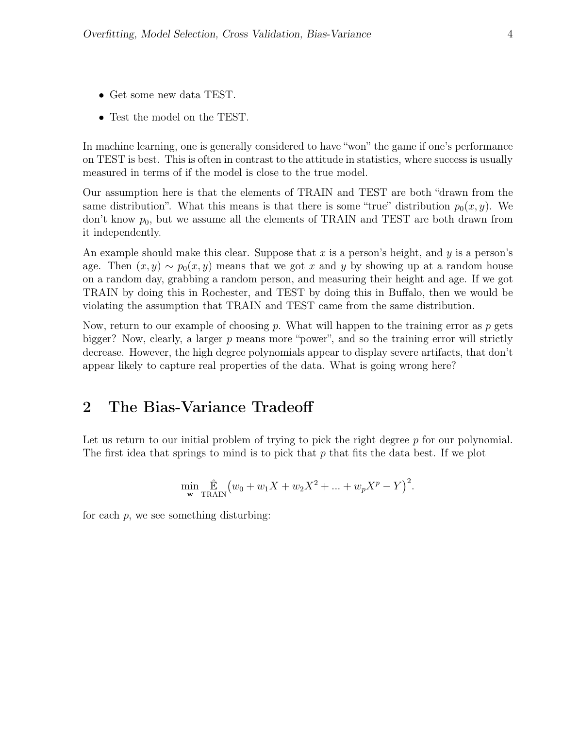- Get some new data TEST.
- Test the model on the TEST.

In machine learning, one is generally considered to have "won" the game if one's performance on TEST is best. This is often in contrast to the attitude in statistics, where success is usually measured in terms of if the model is close to the true model.

Our assumption here is that the elements of TRAIN and TEST are both "drawn from the same distribution". What this means is that there is some "true" distribution  $p_0(x, y)$ . We don't know  $p_0$ , but we assume all the elements of TRAIN and TEST are both drawn from it independently.

An example should make this clear. Suppose that x is a person's height, and y is a person's age. Then  $(x, y) \sim p_0(x, y)$  means that we got x and y by showing up at a random house on a random day, grabbing a random person, and measuring their height and age. If we got TRAIN by doing this in Rochester, and TEST by doing this in Buffalo, then we would be violating the assumption that TRAIN and TEST came from the same distribution.

Now, return to our example of choosing p. What will happen to the training error as  $p$  gets bigger? Now, clearly, a larger  $p$  means more "power", and so the training error will strictly decrease. However, the high degree polynomials appear to display severe artifacts, that don't appear likely to capture real properties of the data. What is going wrong here?

## 2 The Bias-Variance Tradeoff

Let us return to our initial problem of trying to pick the right degree  $p$  for our polynomial. The first idea that springs to mind is to pick that  $p$  that fits the data best. If we plot

$$
\min_{\mathbf{w}} \hat{\mathbb{E}}_{\text{TRAIN}} (w_0 + w_1 X + w_2 X^2 + \dots + w_p X^p - Y)^2.
$$

for each  $p$ , we see something disturbing: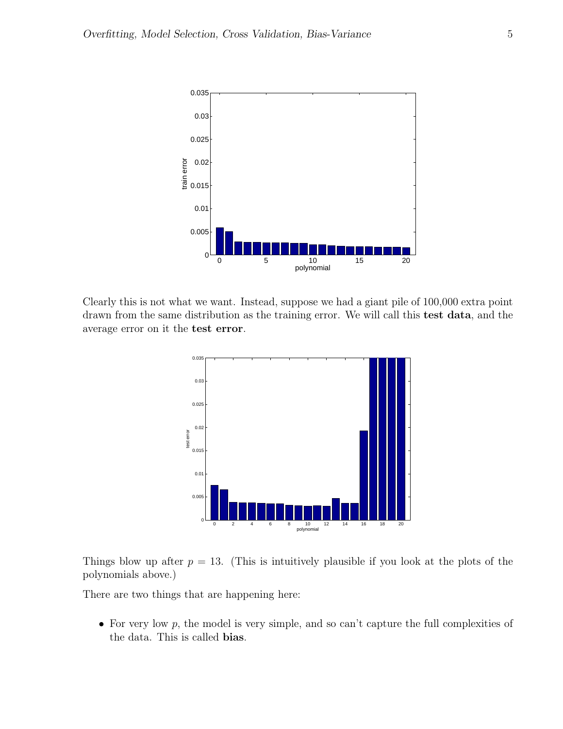

Clearly this is not what we want. Instead, suppose we had a giant pile of 100,000 extra point drawn from the same distribution as the training error. We will call this test data, and the average error on it the test error.



Things blow up after  $p = 13$ . (This is intuitively plausible if you look at the plots of the polynomials above.)

There are two things that are happening here:

• For very low  $p$ , the model is very simple, and so can't capture the full complexities of the data. This is called bias.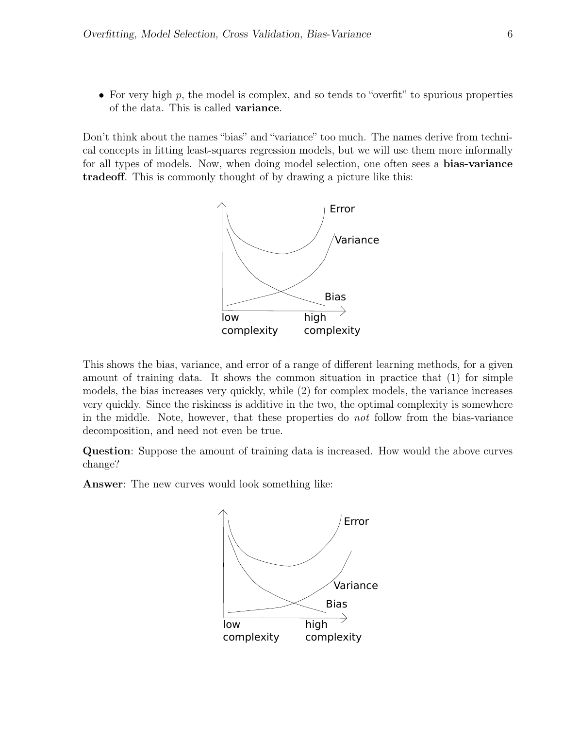• For very high  $p$ , the model is complex, and so tends to "overfit" to spurious properties of the data. This is called variance.

Don't think about the names "bias" and "variance" too much. The names derive from technical concepts in fitting least-squares regression models, but we will use them more informally for all types of models. Now, when doing model selection, one often sees a **bias-variance** tradeoff. This is commonly thought of by drawing a picture like this:



This shows the bias, variance, and error of a range of different learning methods, for a given amount of training data. It shows the common situation in practice that (1) for simple models, the bias increases very quickly, while (2) for complex models, the variance increases very quickly. Since the riskiness is additive in the two, the optimal complexity is somewhere in the middle. Note, however, that these properties do not follow from the bias-variance decomposition, and need not even be true.

Question: Suppose the amount of training data is increased. How would the above curves change?

Answer: The new curves would look something like:

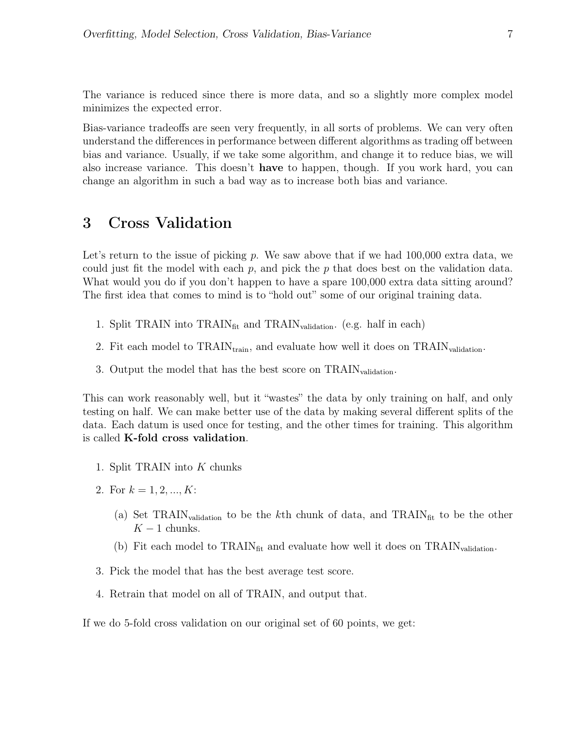The variance is reduced since there is more data, and so a slightly more complex model minimizes the expected error.

Bias-variance tradeoffs are seen very frequently, in all sorts of problems. We can very often understand the differences in performance between different algorithms as trading off between bias and variance. Usually, if we take some algorithm, and change it to reduce bias, we will also increase variance. This doesn't have to happen, though. If you work hard, you can change an algorithm in such a bad way as to increase both bias and variance.

## 3 Cross Validation

Let's return to the issue of picking  $p$ . We saw above that if we had 100,000 extra data, we could just fit the model with each  $p$ , and pick the  $p$  that does best on the validation data. What would you do if you don't happen to have a spare 100,000 extra data sitting around? The first idea that comes to mind is to "hold out" some of our original training data.

- 1. Split TRAIN into  $\text{TRAIN}_{\text{fit}}$  and  $\text{TRAIN}_{\text{validation}}$ . (e.g. half in each)
- 2. Fit each model to  $\text{TRAIN}_{\text{train}}$ , and evaluate how well it does on  $\text{TRAIN}_{\text{validation}}$ .
- 3. Output the model that has the best score on  $\text{TRAN}_{validation}$ .

This can work reasonably well, but it "wastes" the data by only training on half, and only testing on half. We can make better use of the data by making several different splits of the data. Each datum is used once for testing, and the other times for training. This algorithm is called K-fold cross validation.

- 1. Split TRAIN into K chunks
- 2. For  $k = 1, 2, ..., K$ :
	- (a) Set TRAIN<sub>validation</sub> to be the k<sup>th</sup> chunk of data, and TRAIN<sub>fit</sub> to be the other  $K - 1$  chunks.
	- (b) Fit each model to  $\text{TRAIN}_{\text{fit}}$  and evaluate how well it does on  $\text{TRAIN}_{\text{validation}}$ .
- 3. Pick the model that has the best average test score.
- 4. Retrain that model on all of TRAIN, and output that.

If we do 5-fold cross validation on our original set of 60 points, we get: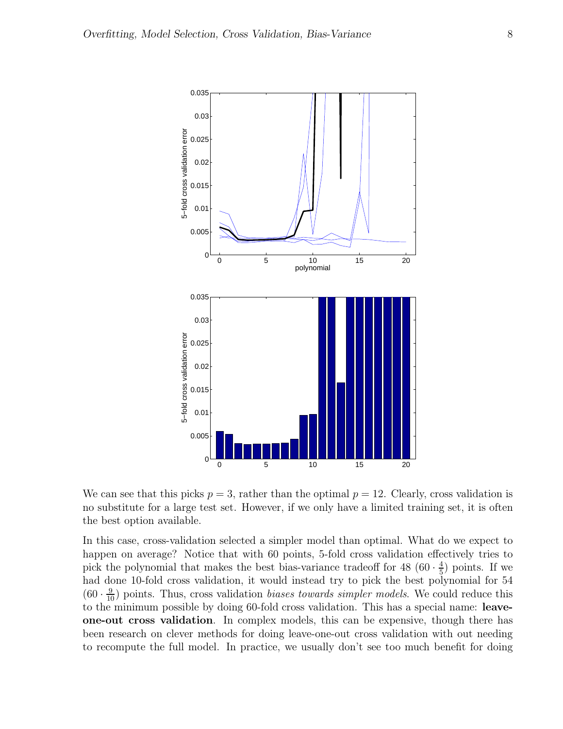

We can see that this picks  $p = 3$ , rather than the optimal  $p = 12$ . Clearly, cross validation is no substitute for a large test set. However, if we only have a limited training set, it is often the best option available.

In this case, cross-validation selected a simpler model than optimal. What do we expect to happen on average? Notice that with 60 points, 5-fold cross validation effectively tries to pick the polynomial that makes the best bias-variance tradeoff for 48 (60  $\cdot \frac{4}{5}$ )  $(\frac{4}{5})$  points. If we had done 10-fold cross validation, it would instead try to pick the best polynomial for 54  $(60 \cdot \frac{9}{10})$  points. Thus, cross validation *biases towards simpler models*. We could reduce this to the minimum possible by doing 60-fold cross validation. This has a special name: leaveone-out cross validation. In complex models, this can be expensive, though there has been research on clever methods for doing leave-one-out cross validation with out needing to recompute the full model. In practice, we usually don't see too much benefit for doing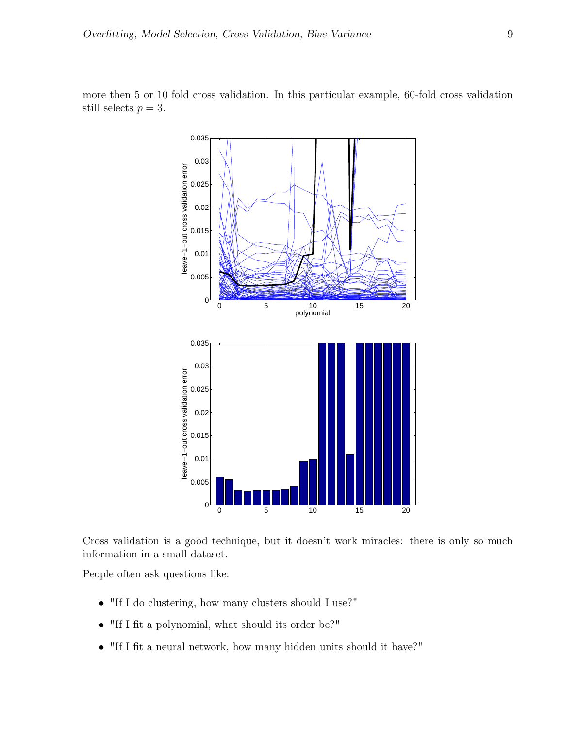

more then 5 or 10 fold cross validation. In this particular example, 60-fold cross validation still selects  $p = 3$ .

Cross validation is a good technique, but it doesn't work miracles: there is only so much information in a small dataset.

People often ask questions like:

- "If I do clustering, how many clusters should I use?"
- "If I fit a polynomial, what should its order be?"
- "If I fit a neural network, how many hidden units should it have?"